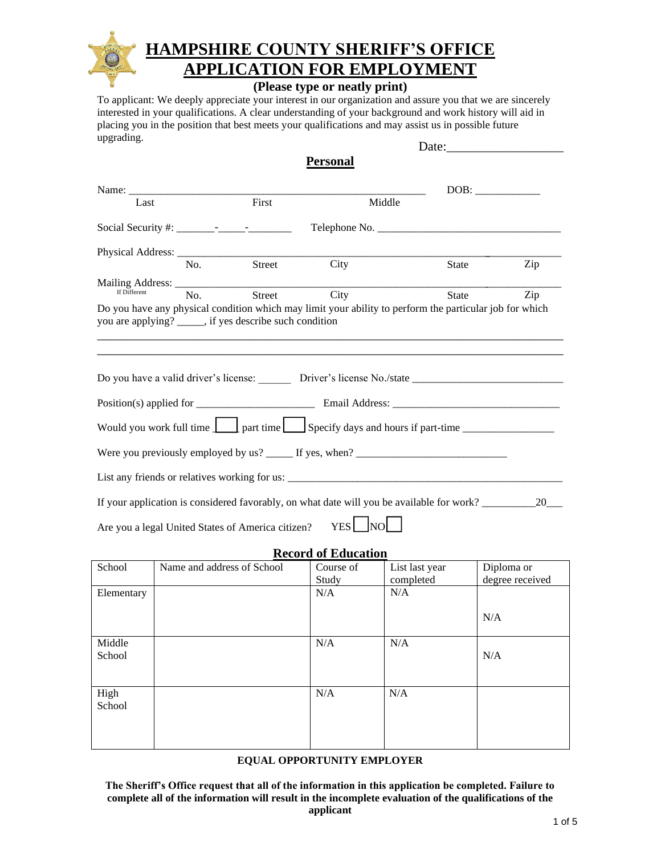

## **HAMPSHIRE COUNTY SHERIFF'S OFFICE TION FOR EMPLOYMENT**

### **(Please type or neatly print)**

To applicant: We deeply appreciate your interest in our organization and assure you that we are sincerely interested in your qualifications. A clear understanding of your background and work history will aid in placing you in the position that best meets your qualifications and may assist us in possible future upgrading.

|                                                                                                                                  |                                                                                                                                                                                                                                                                                                                |                                                         | <b>Personal</b>            |                                                                                           |                                                                                                                |  |  |
|----------------------------------------------------------------------------------------------------------------------------------|----------------------------------------------------------------------------------------------------------------------------------------------------------------------------------------------------------------------------------------------------------------------------------------------------------------|---------------------------------------------------------|----------------------------|-------------------------------------------------------------------------------------------|----------------------------------------------------------------------------------------------------------------|--|--|
| Name:                                                                                                                            |                                                                                                                                                                                                                                                                                                                |                                                         |                            |                                                                                           |                                                                                                                |  |  |
| Last                                                                                                                             |                                                                                                                                                                                                                                                                                                                | First                                                   |                            | Middle                                                                                    |                                                                                                                |  |  |
|                                                                                                                                  | Social Security #: $\frac{1}{2}$ $\frac{1}{2}$ $\frac{1}{2}$ $\frac{1}{2}$ $\frac{1}{2}$ $\frac{1}{2}$ $\frac{1}{2}$ $\frac{1}{2}$ $\frac{1}{2}$ $\frac{1}{2}$ $\frac{1}{2}$ $\frac{1}{2}$ $\frac{1}{2}$ $\frac{1}{2}$ $\frac{1}{2}$ $\frac{1}{2}$ $\frac{1}{2}$ $\frac{1}{2}$ $\frac{1}{2}$ $\frac{1}{2}$ $\$ |                                                         |                            |                                                                                           |                                                                                                                |  |  |
|                                                                                                                                  |                                                                                                                                                                                                                                                                                                                |                                                         |                            |                                                                                           |                                                                                                                |  |  |
|                                                                                                                                  | No.                                                                                                                                                                                                                                                                                                            | <b>Street</b>                                           | City                       |                                                                                           | State<br>Zip                                                                                                   |  |  |
| If Different                                                                                                                     |                                                                                                                                                                                                                                                                                                                | Street                                                  | City                       |                                                                                           |                                                                                                                |  |  |
|                                                                                                                                  | No.                                                                                                                                                                                                                                                                                                            | you are applying? _____, if yes describe such condition |                            | <b>State</b>                                                                              | Zip<br>Do you have any physical condition which may limit your ability to perform the particular job for which |  |  |
|                                                                                                                                  |                                                                                                                                                                                                                                                                                                                |                                                         |                            |                                                                                           |                                                                                                                |  |  |
|                                                                                                                                  |                                                                                                                                                                                                                                                                                                                |                                                         |                            |                                                                                           |                                                                                                                |  |  |
| Would you work full time $\boxed{\phantom{a}}$ part time $\boxed{\phantom{a}}$ Specify days and hours if part-time $\phantom{a}$ |                                                                                                                                                                                                                                                                                                                |                                                         |                            |                                                                                           |                                                                                                                |  |  |
|                                                                                                                                  |                                                                                                                                                                                                                                                                                                                |                                                         |                            | Were you previously employed by us? ______ If yes, when? ________________________         |                                                                                                                |  |  |
|                                                                                                                                  |                                                                                                                                                                                                                                                                                                                |                                                         |                            |                                                                                           |                                                                                                                |  |  |
|                                                                                                                                  |                                                                                                                                                                                                                                                                                                                |                                                         |                            | If your application is considered favorably, on what date will you be available for work? | 20                                                                                                             |  |  |
|                                                                                                                                  |                                                                                                                                                                                                                                                                                                                | Are you a legal United States of America citizen?       | $YES$ NO                   |                                                                                           |                                                                                                                |  |  |
|                                                                                                                                  |                                                                                                                                                                                                                                                                                                                |                                                         | <b>Record of Education</b> |                                                                                           |                                                                                                                |  |  |
| School                                                                                                                           | Name and address of School                                                                                                                                                                                                                                                                                     |                                                         | Course of<br>Study         | List last year<br>completed                                                               | Diploma or<br>degree received                                                                                  |  |  |
| Elementary                                                                                                                       |                                                                                                                                                                                                                                                                                                                |                                                         | N/A                        | N/A                                                                                       |                                                                                                                |  |  |
|                                                                                                                                  |                                                                                                                                                                                                                                                                                                                |                                                         |                            |                                                                                           | N/A                                                                                                            |  |  |
| Middle<br>School                                                                                                                 |                                                                                                                                                                                                                                                                                                                |                                                         | $\rm N/A$                  | N/A                                                                                       | N/A                                                                                                            |  |  |
| High                                                                                                                             |                                                                                                                                                                                                                                                                                                                |                                                         | N/A                        | N/A                                                                                       |                                                                                                                |  |  |
| School                                                                                                                           |                                                                                                                                                                                                                                                                                                                |                                                         |                            |                                                                                           |                                                                                                                |  |  |

#### **EQUAL OPPORTUNITY EMPLOYER**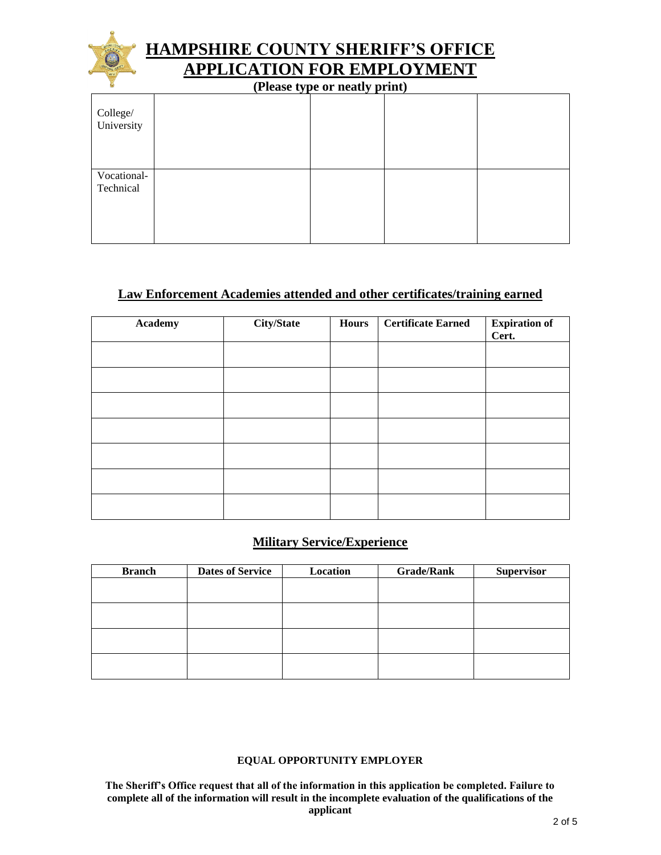

# **HAMPSHIRE COUNTY SHERIFF'S OFFICE APPLICATION FOR EMPLOYMENT**

**(Please type or neatly print)**

| College/<br>University   |  |  |
|--------------------------|--|--|
| Vocational-<br>Technical |  |  |

### **Law Enforcement Academies attended and other certificates/training earned**

| <b>Academy</b> | <b>City/State</b> | Hours | <b>Certificate Earned</b> | <b>Expiration of</b><br>Cert. |
|----------------|-------------------|-------|---------------------------|-------------------------------|
|                |                   |       |                           |                               |
|                |                   |       |                           |                               |
|                |                   |       |                           |                               |
|                |                   |       |                           |                               |
|                |                   |       |                           |                               |
|                |                   |       |                           |                               |
|                |                   |       |                           |                               |

### **Military Service/Experience**

| <b>Branch</b> | <b>Dates of Service</b> | Location | <b>Grade/Rank</b> | <b>Supervisor</b> |
|---------------|-------------------------|----------|-------------------|-------------------|
|               |                         |          |                   |                   |
|               |                         |          |                   |                   |
|               |                         |          |                   |                   |
|               |                         |          |                   |                   |
|               |                         |          |                   |                   |
|               |                         |          |                   |                   |
|               |                         |          |                   |                   |
|               |                         |          |                   |                   |

#### **EQUAL OPPORTUNITY EMPLOYER**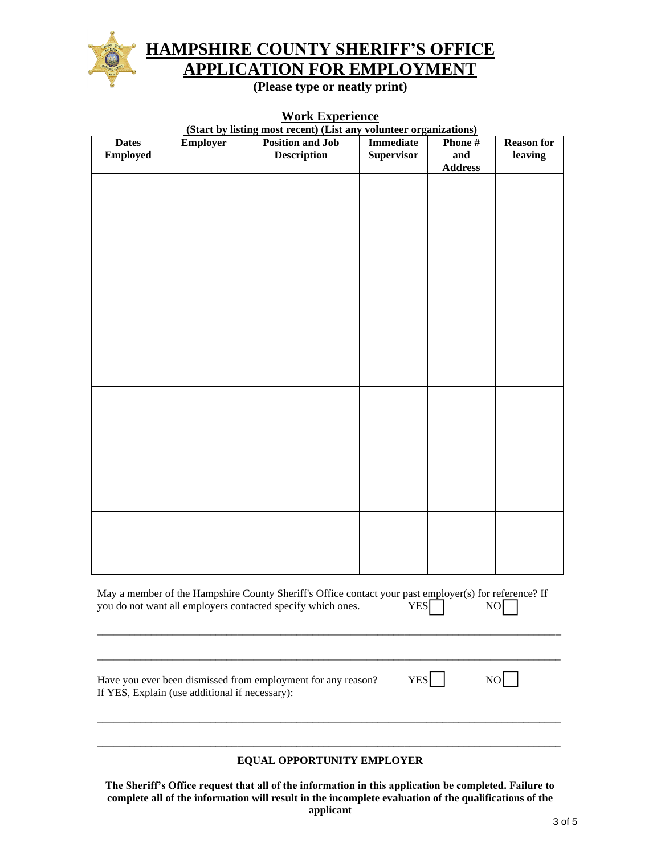

# **HAMPSHIRE COUNTY SHERIFF'S OFFICE APPLICATION FOR EMPLOYMENT**

**(Please type or neatly print)**

### **Work Experience**

|                                                                                                                                                                              |                 | (Start by listing most recent) (List any volunteer organizations) |                   |                       |                   |  |  |
|------------------------------------------------------------------------------------------------------------------------------------------------------------------------------|-----------------|-------------------------------------------------------------------|-------------------|-----------------------|-------------------|--|--|
| <b>Dates</b>                                                                                                                                                                 | <b>Employer</b> | <b>Position and Job</b>                                           | <b>Immediate</b>  | Phone#                | <b>Reason for</b> |  |  |
| <b>Employed</b>                                                                                                                                                              |                 | <b>Description</b>                                                | <b>Supervisor</b> | and<br><b>Address</b> | leaving           |  |  |
|                                                                                                                                                                              |                 |                                                                   |                   |                       |                   |  |  |
|                                                                                                                                                                              |                 |                                                                   |                   |                       |                   |  |  |
|                                                                                                                                                                              |                 |                                                                   |                   |                       |                   |  |  |
|                                                                                                                                                                              |                 |                                                                   |                   |                       |                   |  |  |
|                                                                                                                                                                              |                 |                                                                   |                   |                       |                   |  |  |
|                                                                                                                                                                              |                 |                                                                   |                   |                       |                   |  |  |
|                                                                                                                                                                              |                 |                                                                   |                   |                       |                   |  |  |
|                                                                                                                                                                              |                 |                                                                   |                   |                       |                   |  |  |
|                                                                                                                                                                              |                 |                                                                   |                   |                       |                   |  |  |
|                                                                                                                                                                              |                 |                                                                   |                   |                       |                   |  |  |
|                                                                                                                                                                              |                 |                                                                   |                   |                       |                   |  |  |
|                                                                                                                                                                              |                 |                                                                   |                   |                       |                   |  |  |
|                                                                                                                                                                              |                 |                                                                   |                   |                       |                   |  |  |
|                                                                                                                                                                              |                 |                                                                   |                   |                       |                   |  |  |
|                                                                                                                                                                              |                 |                                                                   |                   |                       |                   |  |  |
|                                                                                                                                                                              |                 |                                                                   |                   |                       |                   |  |  |
|                                                                                                                                                                              |                 |                                                                   |                   |                       |                   |  |  |
|                                                                                                                                                                              |                 |                                                                   |                   |                       |                   |  |  |
|                                                                                                                                                                              |                 |                                                                   |                   |                       |                   |  |  |
|                                                                                                                                                                              |                 |                                                                   |                   |                       |                   |  |  |
|                                                                                                                                                                              |                 |                                                                   |                   |                       |                   |  |  |
|                                                                                                                                                                              |                 |                                                                   |                   |                       |                   |  |  |
|                                                                                                                                                                              |                 |                                                                   |                   |                       |                   |  |  |
|                                                                                                                                                                              |                 |                                                                   |                   |                       |                   |  |  |
|                                                                                                                                                                              |                 |                                                                   |                   |                       |                   |  |  |
|                                                                                                                                                                              |                 |                                                                   |                   |                       |                   |  |  |
|                                                                                                                                                                              |                 |                                                                   |                   |                       |                   |  |  |
|                                                                                                                                                                              |                 |                                                                   |                   |                       |                   |  |  |
|                                                                                                                                                                              |                 |                                                                   |                   |                       |                   |  |  |
| May a member of the Hampshire County Sheriff's Office contact your past employer(s) for reference? If<br>you do not want all employers contacted specify which ones. YES YES |                 |                                                                   |                   |                       |                   |  |  |
|                                                                                                                                                                              |                 |                                                                   |                   |                       |                   |  |  |
|                                                                                                                                                                              |                 |                                                                   |                   |                       |                   |  |  |
|                                                                                                                                                                              |                 |                                                                   |                   |                       |                   |  |  |
|                                                                                                                                                                              |                 |                                                                   |                   |                       |                   |  |  |
| <b>YES</b><br>NO<br>Have you ever been dismissed from employment for any reason?                                                                                             |                 |                                                                   |                   |                       |                   |  |  |
| If YES, Explain (use additional if necessary):                                                                                                                               |                 |                                                                   |                   |                       |                   |  |  |
|                                                                                                                                                                              |                 |                                                                   |                   |                       |                   |  |  |
|                                                                                                                                                                              |                 |                                                                   |                   |                       |                   |  |  |
|                                                                                                                                                                              |                 |                                                                   |                   |                       |                   |  |  |
|                                                                                                                                                                              |                 |                                                                   |                   |                       |                   |  |  |
|                                                                                                                                                                              |                 | EQUAL OPPORTUNITY EMPLOYER                                        |                   |                       |                   |  |  |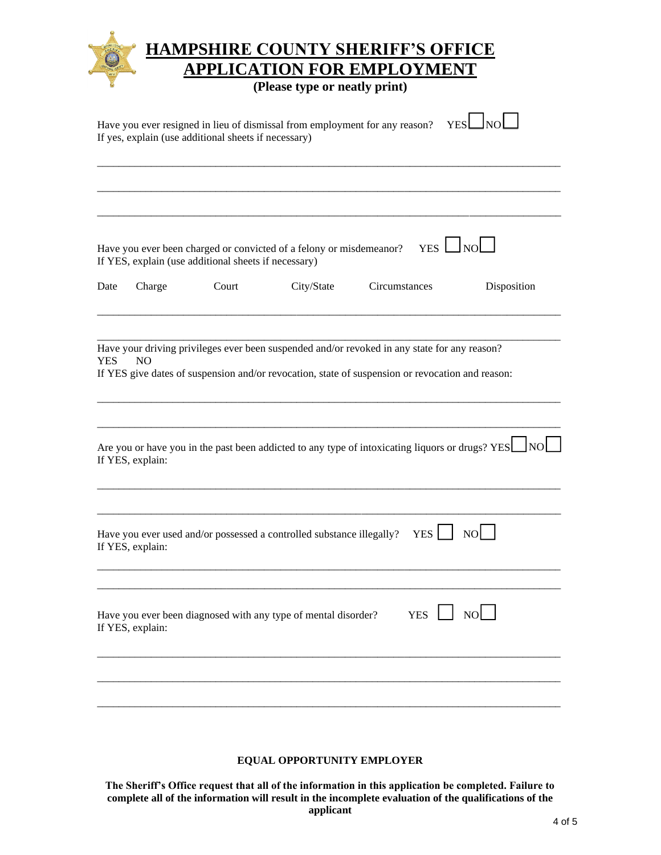|            |                  |                                                      | <b>APPLICATION FOR EMPLOYMENT</b><br>(Please type or neatly print)                               |               |                              |             |
|------------|------------------|------------------------------------------------------|--------------------------------------------------------------------------------------------------|---------------|------------------------------|-------------|
|            |                  | If yes, explain (use additional sheets if necessary) | Have you ever resigned in lieu of dismissal from employment for any reason?                      |               | Jnol<br><b>YES</b>           |             |
|            |                  |                                                      |                                                                                                  |               |                              |             |
|            |                  | If YES, explain (use additional sheets if necessary) | Have you ever been charged or convicted of a felony or misdemeanor?                              |               | <u>Inol</u><br>$YES$ $\perp$ |             |
| Date       | Charge           | Court                                                | City/State                                                                                       | Circumstances |                              | Disposition |
| <b>YES</b> | N <sub>O</sub>   |                                                      | If YES give dates of suspension and/or revocation, state of suspension or revocation and reason: |               |                              |             |
|            | If YES, explain: |                                                      | Are you or have you in the past been addicted to any type of intoxicating liquors or drugs? YES  |               |                              |             |
|            | If YES, explain: |                                                      | Have you ever used and/or possessed a controlled substance illegally?                            |               | NO<br>YES <sup>1</sup>       |             |
|            | If YES, explain: |                                                      | Have you ever been diagnosed with any type of mental disorder?                                   | <b>YES</b>    | $\Box$ NO $\Box$             |             |

### **EQUAL OPPORTUNITY EMPLOYER**